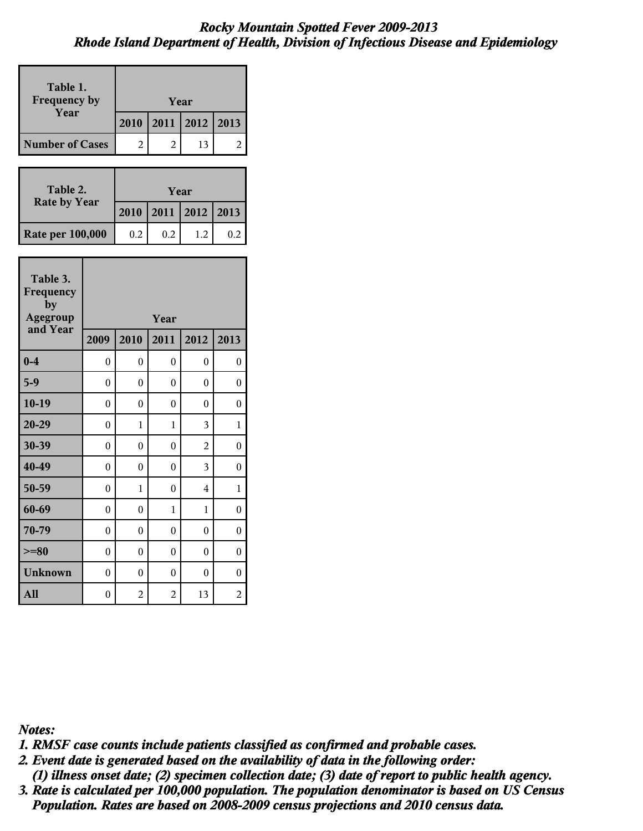| Table 1.<br><b>Frequency by</b><br>Year |                  | Year           |                  |                |                |  |
|-----------------------------------------|------------------|----------------|------------------|----------------|----------------|--|
|                                         |                  | 2010           | 2011             | 2012           | 2013           |  |
| <b>Number of Cases</b>                  |                  | $\overline{2}$ | $\mathfrak{D}$   | 13             | 2              |  |
|                                         |                  |                |                  |                |                |  |
| Table 2.                                |                  |                | Year             |                |                |  |
| <b>Rate by Year</b>                     |                  | 2010           | 2011             | 2012           | 2013           |  |
| <b>Rate per 100,000</b>                 |                  | 0.2            | 0.2              | 1.2            | 0.2            |  |
|                                         |                  |                |                  |                |                |  |
| Table 3.<br>Frequency<br>by             |                  |                |                  |                |                |  |
| Agegroup<br>and Year                    |                  |                | Year             |                |                |  |
|                                         | 2009             | 2010           | 2011             | 2012           | 2013           |  |
| $0-4$                                   | $\theta$         | 0              | 0                | 0              | 0              |  |
| $5-9$                                   | $\theta$         | $\theta$       | $\theta$         | 0              | $\overline{0}$ |  |
|                                         |                  |                |                  |                |                |  |
| $10-19$                                 | $\theta$         | $\theta$       | $\theta$         | 0              | $\overline{0}$ |  |
| $20 - 29$                               | $\boldsymbol{0}$ | 1              | 1                | 3              | 1              |  |
| 30-39                                   | $\overline{0}$   | $\overline{0}$ | $\overline{0}$   | $\overline{2}$ | 0              |  |
| 40-49                                   | $\boldsymbol{0}$ | $\theta$       | $\boldsymbol{0}$ | 3              | 0              |  |
| 50-59                                   | $\theta$         | 1              | $\theta$         | 4              | 1              |  |
| 60-69                                   | $\theta$         | $\overline{0}$ | 1                | 1              | 0              |  |
| 70-79                                   | $\theta$         | $\theta$       | $\theta$         | 0              | 0              |  |
| $>=80$                                  | $\theta$         | $\theta$       | $\theta$         | $\theta$       | $\theta$       |  |
| <b>Unknown</b>                          | $\theta$         | $\theta$       | $\theta$         | 0              | $\theta$       |  |

*Notes:*

*1. RMSF case counts include patients classified as confirmed and probable cases.*

 *(1) illness onset date; (2) specimen collection date; (3) date of report to public health agency. 2. Event date is generated based on the availability of data in the following order:*

 *Population. Rates are based on 2008-2009 census projections and 2010 census data. 3. Rate is calculated per 100,000 population. The population denominator is based on US Census*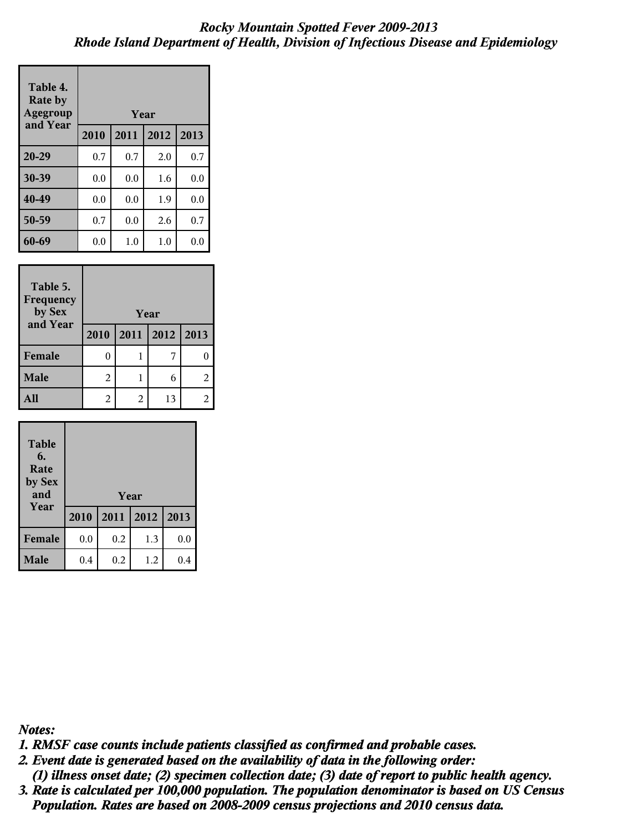| Table 4.<br><b>Rate by</b><br>Agegroup |      | Year |      |      |
|----------------------------------------|------|------|------|------|
| and Year                               | 2010 | 2011 | 2012 | 2013 |
| 20-29                                  | 0.7  | 0.7  | 2.0  | 0.7  |
| 30-39                                  | 0.0  | 0.0  | 1.6  | 0.0  |
| 40-49                                  | 0.0  | 0.0  | 1.9  | 0.0  |
| 50-59                                  | 0.7  | 0.0  | 2.6  | 0.7  |
| 60-69                                  | 0.0  | 1.0  | 1.0  | 0.0  |

| Table 5.<br><b>Frequency</b><br>by Sex | Year |   |                |   |
|----------------------------------------|------|---|----------------|---|
| and Year                               | 2010 |   | 2011 2012 2013 |   |
| Female                                 |      |   |                |   |
| <b>Male</b>                            | 2    |   | 6              | 2 |
|                                        | 2    | 2 | 13             |   |

| <b>Table</b><br>6.<br>Rate<br>by Sex<br>and |      |      | Year |      |
|---------------------------------------------|------|------|------|------|
| Year                                        | 2010 | 2011 | 2012 | 2013 |
| Female                                      | 0.0  | 0.2  | 1.3  | 0.0  |
| <b>Male</b>                                 | 0.4  | 0.2  | 1.2  | 0.4  |

*Notes:*

*1. RMSF case counts include patients classified as confirmed and probable cases.*

- *(1) illness onset date; (2) specimen collection date; (3) date of report to public health agency. 2. Event date is generated based on the availability of data in the following order:*
- *Population. Rates are based on 2008-2009 census projections and 2010 census data. 3. Rate is calculated per 100,000 population. The population denominator is based on US Census*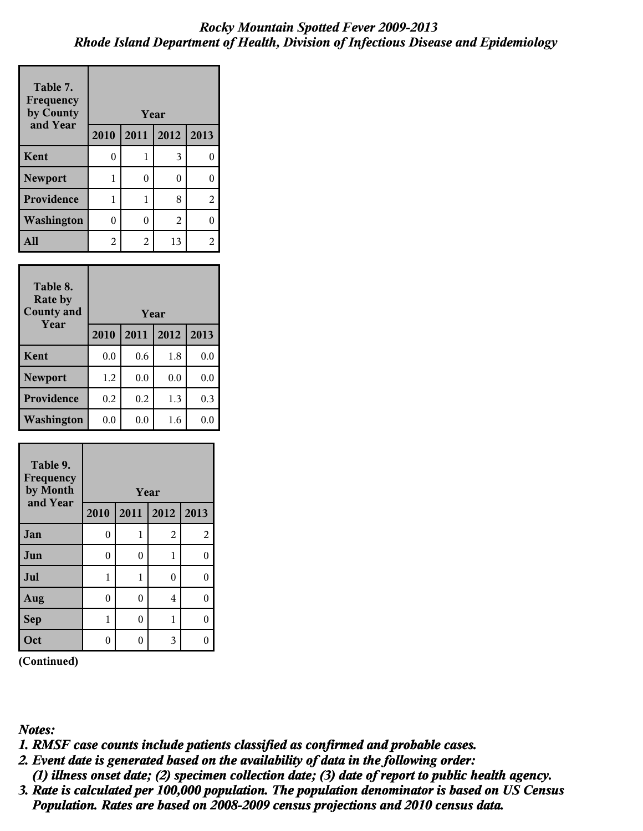| Table 7.<br>Frequency<br>by County<br>and Year | Year |      |      |      |
|------------------------------------------------|------|------|------|------|
|                                                | 2010 | 2011 | 2012 | 2013 |
| Kent                                           | 0    | 1    | 3    | 0    |
| <b>Newport</b>                                 | 1    | 0    | 0    | 0    |
| Providence                                     | 1    | 1    | 8    | 2    |
| Washington                                     | 0    | 0    | 2    | 0    |
| A11                                            | 2    | 2    | 13   | 2    |

| Table 8.<br><b>Rate by</b><br><b>County and</b> | Year |         |      |      |
|-------------------------------------------------|------|---------|------|------|
| Year                                            | 2010 | 2011    | 2012 | 2013 |
| Kent                                            | 0.0  | 0.6     | 1.8  | 0.0  |
| <b>Newport</b>                                  | 1.2  | 0.0     | 0.0  | 0.0  |
| <b>Providence</b>                               | 0.2  | 0.2     | 1.3  | 0.3  |
| Washington                                      | 0.0  | $0.0\,$ | 1.6  | 0.0  |

| Table 9.<br>Frequency<br>by Month |      |                | Year           |                |
|-----------------------------------|------|----------------|----------------|----------------|
| and Year                          | 2010 | 2011           | 2012           | 2013           |
| Jan                               | 0    | 1              | $\overline{2}$ | $\overline{2}$ |
| Jun                               | 0    | 0              | $\mathbf 1$    | 0              |
| Jul                               | 1    | 1              | 0              | 0              |
| Aug                               | 0    | $\overline{0}$ | 4              | 0              |
| <b>Sep</b>                        | 1    | 0              | 1              | 0              |
| Oct                               | 0    |                | 3              |                |

**(Continued)**

*Notes:*

*1. RMSF case counts include patients classified as confirmed and probable cases.*

 *(1) illness onset date; (2) specimen collection date; (3) date of report to public health agency. 2. Event date is generated based on the availability of data in the following order:*

 *Population. Rates are based on 2008-2009 census projections and 2010 census data. 3. Rate is calculated per 100,000 population. The population denominator is based on US Census*